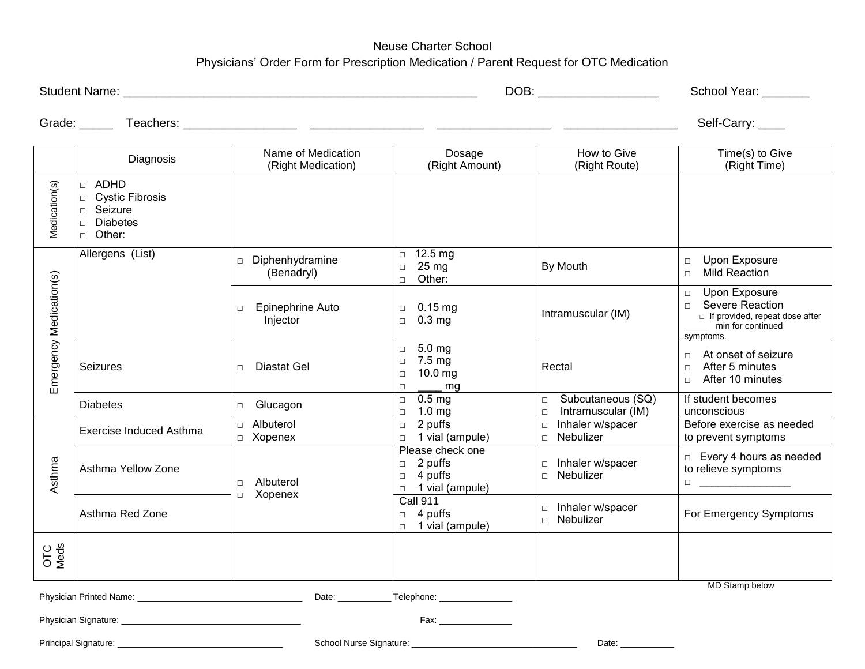## Neuse Charter School Physicians' Order Form for Prescription Medication / Parent Request for OTC Medication

| <b>Student</b> |      | Year   |
|----------------|------|--------|
| Name.          | DOB: | School |
|                |      |        |

Grade: \_\_\_\_\_ Teachers: \_\_\_\_\_\_\_\_\_\_\_\_\_\_\_\_\_ \_\_\_\_\_\_\_\_\_\_\_\_\_\_\_\_\_ \_\_\_\_\_\_\_\_\_\_\_\_\_\_\_\_\_ \_\_\_\_\_\_\_\_\_\_\_\_\_\_\_\_\_ Self-Carry: \_\_\_\_

|                         | Diagnosis                                                                                                                       | Name of Medication<br>(Right Medication) | Dosage<br>(Right Amount)                                                             | How to Give<br>(Right Route)                                | Time(s) to Give<br>(Right Time)                                                                                                 |
|-------------------------|---------------------------------------------------------------------------------------------------------------------------------|------------------------------------------|--------------------------------------------------------------------------------------|-------------------------------------------------------------|---------------------------------------------------------------------------------------------------------------------------------|
| Medication(s)           | <b>ADHD</b><br>$\Box$<br><b>Cystic Fibrosis</b><br>$\Box$<br>Seizure<br>$\Box$<br><b>Diabetes</b><br>$\Box$<br>Other:<br>$\Box$ |                                          |                                                                                      |                                                             |                                                                                                                                 |
| Emergency Medication(s) | Allergens (List)                                                                                                                | Diphenhydramine<br>$\Box$<br>(Benadryl)  | $\Box$ 12.5 mg<br>25 mg<br>$\Box$<br>Other:<br>$\Box$                                | By Mouth                                                    | Upon Exposure<br>$\Box$<br><b>Mild Reaction</b><br>$\Box$                                                                       |
|                         |                                                                                                                                 | Epinephrine Auto<br>$\Box$<br>Injector   | $0.15 \,\mathrm{mg}$<br>$\Box$<br>0.3 <sub>mg</sub><br>$\Box$                        | Intramuscular (IM)                                          | Upon Exposure<br>$\Box$<br>Severe Reaction<br>$\Box$<br>$\Box$ If provided, repeat dose after<br>min for continued<br>symptoms. |
|                         | <b>Seizures</b>                                                                                                                 | Diastat Gel<br>$\Box$                    | 5.0 mg<br>$\Box$<br>7.5 mg<br>$\Box$<br>10.0 mg<br>$\Box$<br>mg<br>$\Box$            | Rectal                                                      | At onset of seizure<br>$\Box$<br>After 5 minutes<br>$\Box$<br>After 10 minutes<br>$\Box$                                        |
|                         | <b>Diabetes</b>                                                                                                                 | Glucagon<br>$\Box$                       | 0.5 <sub>mg</sub><br>$\Box$<br>1.0 <sub>mg</sub><br>$\Box$                           | Subcutaneous (SQ)<br>$\Box$<br>Intramuscular (IM)<br>$\Box$ | If student becomes<br>unconscious                                                                                               |
| Asthma                  | Exercise Induced Asthma                                                                                                         | Albuterol<br>$\Box$<br>Xopenex<br>$\Box$ | 2 puffs<br>$\Box$<br>$\Box$ 1 vial (ampule)                                          | Inhaler w/spacer<br>$\Box$<br>Nebulizer<br>$\Box$           | Before exercise as needed<br>to prevent symptoms                                                                                |
|                         | Asthma Yellow Zone                                                                                                              | Albuterol<br>$\Box$<br>Xopenex<br>$\Box$ | Please check one<br>2 puffs<br>$\Box$<br>4 puffs<br>$\Box$<br>$\Box$ 1 vial (ampule) | Inhaler w/spacer<br>$\Box$<br>Nebulizer<br>$\Box$           | $\Box$ Every 4 hours as needed<br>to relieve symptoms                                                                           |
|                         | Asthma Red Zone                                                                                                                 |                                          | <b>Call 911</b><br>4 puffs<br>$\Box$<br>1 vial (ampule)<br>$\Box$                    | Inhaler w/spacer<br>$\Box$<br>Nebulizer<br>$\Box$           | For Emergency Symptoms                                                                                                          |
| OTC<br>Meds             |                                                                                                                                 |                                          |                                                                                      |                                                             |                                                                                                                                 |
| <b>MD Stamp below</b>   |                                                                                                                                 |                                          |                                                                                      |                                                             |                                                                                                                                 |
|                         |                                                                                                                                 |                                          |                                                                                      |                                                             |                                                                                                                                 |
|                         |                                                                                                                                 |                                          |                                                                                      |                                                             |                                                                                                                                 |
|                         | Principal Signature:                                                                                                            | School Nurse Signature:                  |                                                                                      | Date: $\overline{\phantom{a}}$                              |                                                                                                                                 |